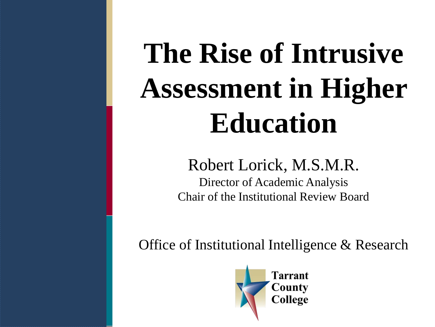# **The Rise of Intrusive Assessment in Higher Education**

#### Robert Lorick, M.S.M.R.

Director of Academic Analysis Chair of the Institutional Review Board

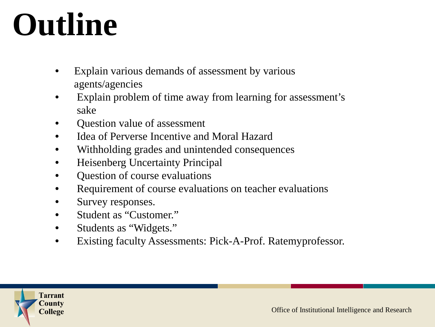# **Outline**

- Explain various demands of assessment by various agents/agencies
- Explain problem of time away from learning for assessment's sake
- Question value of assessment
- Idea of Perverse Incentive and Moral Hazard
- Withholding grades and unintended consequences
- Heisenberg Uncertainty Principal
- Question of course evaluations
- Requirement of course evaluations on teacher evaluations
- Survey responses.
- Student as "Customer."
- Students as "Widgets."
- Existing faculty Assessments: Pick-A-Prof. Ratemyprofessor.

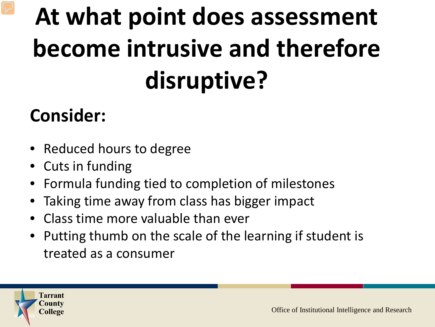## **At what point does assessment become intrusive and therefore disruptive?**

### **Consider:**

- Reduced hours to degree
- Cuts in funding
- Formula funding tied to completion of milestones
- **•** Taking time away from class has bigger impact
- Class time more valuable than ever
- Putting thumb on the scale of the learning if student is treated as a consumer

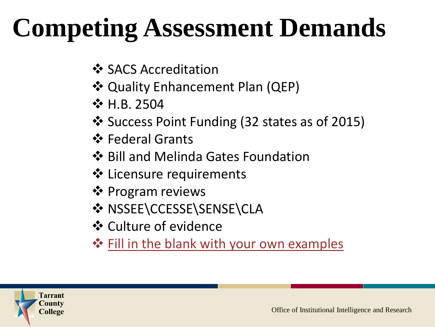### **Competing Assessment Demands**

- ❖ SACS Accreditation
- **❖ Quality Enhancement Plan (QEP)**
- **☆ H.B. 2504**
- ❖ Success Point Funding (32 states as of 2015)
- **☆** Federal Grants
- ❖ Bill and Melinda Gates Foundation
- **❖** Licensure requirements
- ❖ Program reviews
- ❖ NSSEE\CCESSE\SENSE\CLA
- Culture of evidence
- $\dots$  Fill in the blank with your own examples

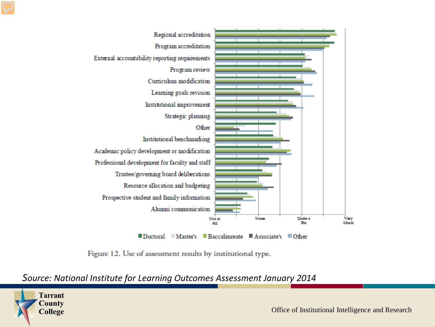

Figure 12. Use of assessment results by institutional type.

#### *Source: National Institute for Learning Outcomes Assessment January 2014*

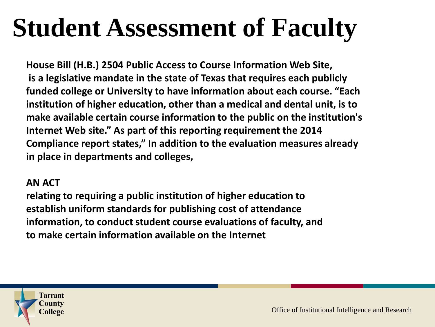### **Student Assessment of Faculty**

**House Bill (H.B.) 2504 Public Access to Course Information Web Site, is a legislative mandate in the state of Texas that requires each publicly funded college or University to have information about each course. "Each institution of higher education, other than a medical and dental unit, is to make available certain course information to the public on the institution's Internet Web site." As part of this reporting requirement the 2014 Compliance report states," In addition to the evaluation measures already in place in departments and colleges,**

#### **AN ACT**

**relating to requiring a public institution of higher education to establish uniform standards for publishing cost of attendance information, to conduct student course evaluations of faculty, and to make certain information available on the Internet**

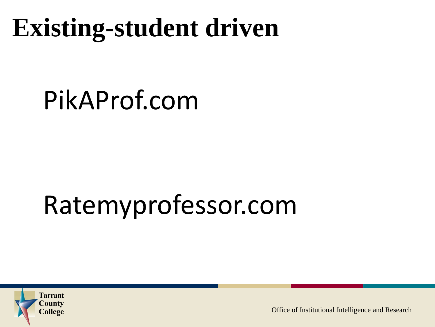### **Existing-student driven**

### PikAProf.com

#### **Sample** Ratemyprofessor.com

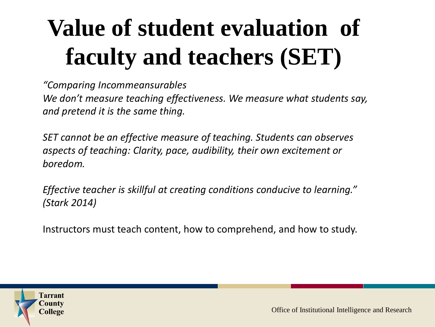### **Value of student evaluation of faculty and teachers (SET)**

*"Comparing Incommeansurables We don't measure teaching effectiveness. We measure what students say, and pretend it is the same thing.*

*SET cannot be an effective measure of teaching. Students can observes aspects of teaching: Clarity, pace, audibility, their own excitement or boredom.*

*Effective teacher is skillful at creating conditions conducive to learning." (Stark 2014)* 

Instructors must teach content, how to comprehend, and how to study.

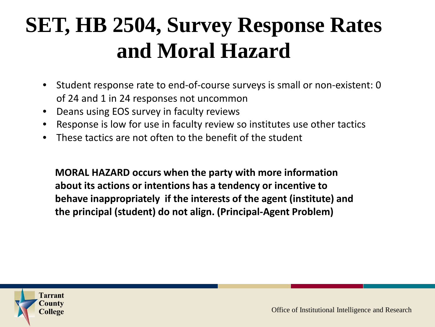### **SET, HB 2504, Survey Response Rates and Moral Hazard**

- Student response rate to end-of-course surveys is small or non-existent: 0 of 24 and 1 in 24 responses not uncommon
- Deans using EOS survey in faculty reviews
- Response is low for use in faculty review so institutes use other tactics
- These tactics are not often to the benefit of the student

the principal (student) do not align. (Principal-Agent Problem) **MORAL HAZARD occurs when the party with more information about its actions or intentions has a tendency or incentive to behave inappropriately if the interests of the agent (institute) and** 

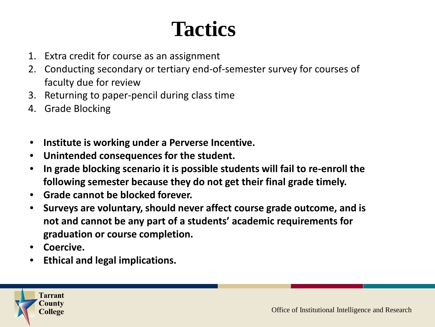### **Tactics**

- 1. Extra credit for course as an assignment
- 2. Conducting secondary or tertiary end-of-semester survey for courses of faculty due for review
- 3. Returning to paper-pencil during class time
- 4. Grade Blocking
- **Institute is working under a Perverse Incentive.**
- **Unintended consequences for the student.**
- **In grade blocking scenario it is possible students will fail to re-enroll the following semester because they do not get their final grade timely.**
- **Grade cannot be blocked forever.**
- **•** Surveys are voluntary, should never affect course grade outcome, and is **not and cannot be any part of a students' academic requirements for graduation or course completion.**
- **Coercive.**
- **Ethical and legal implications.**

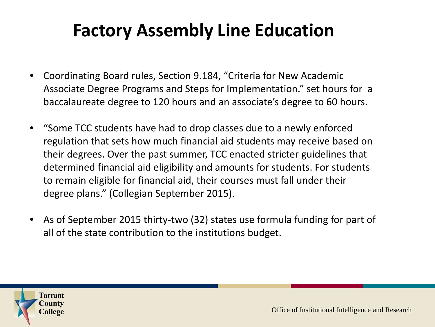### **Factory Assembly Line Education**

- Coordinating Board rules, Section 9.184, "Criteria for New Academic Associate Degree Programs and Steps for Implementation." set hours for a baccalaureate degree to 120 hours and an associate's degree to 60 hours.
- "Some TCC students have had to drop classes due to a newly enforced regulation that sets how much financial aid students may receive based on their degrees. Over the past summer, TCC enacted stricter guidelines that determined financial aid eligibility and amounts for students. For students to remain eligible for financial aid, their courses must fall under their degree plans." (Collegian September 2015).
- As of September 2015 thirty-two (32) states use formula funding for part of all of the state contribution to the institutions budget.

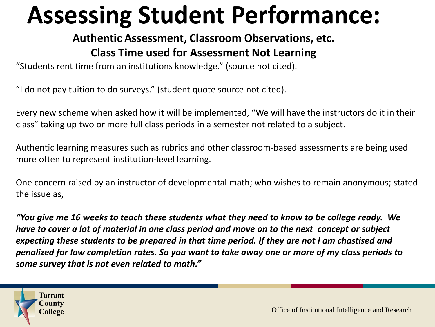### **Assessing Student Performance:**

#### **Authentic Assessment, Classroom Observations, etc. Class Time used for Assessment Not Learning**

"Students rent time from an institutions knowledge." (source not cited).

"I do not pay tuition to do surveys." (student quote source not cited).

Every new scheme when asked how it will be implemented, "We will have the instructors do it in their class" taking up two or more full class periods in a semester not related to a subject.

Authentic learning measures such as rubrics and other classroom-based assessments are being used more often to represent institution-level learning.

One concern raised by an instructor of developmental math; who wishes to remain anonymous; stated the issue as,

*"You give me 16 weeks to teach these students what they need to know to be college ready. We have to cover a lot of material in one class period and move on to the next concept or subject expecting these students to be prepared in that time period. If they are not I am chastised and penalized for low completion rates. So you want to take away one or more of my class periods to some survey that is not even related to math."*

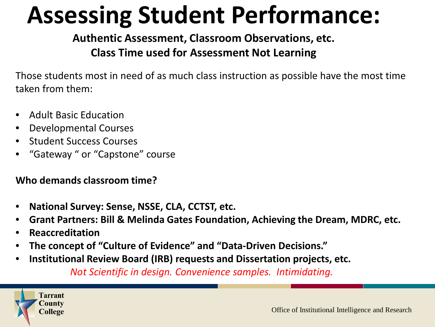### **Assessing Student Performance:**

**Authentic Assessment, Classroom Observations, etc. Class Time used for Assessment Not Learning**

Those students most in need of as much class instruction as possible have the most time taken from them:

- Adult Basic Education
- Developmental Courses
- Student Success Courses
- "Gateway " or "Capstone" course

**Who demands classroom time?**

- **National Survey: Sense, NSSE, CLA, CCTST, etc.**
- **Grant Partners: Bill & Melinda Gates Foundation, Achieving the Dream, MDRC, etc.**
- **Reaccreditation**
- **The concept of "Culture of Evidence" and "Data-Driven Decisions."**
- **Institutional Review Board (IRB) requests and Dissertation projects, etc.**

*Not Scientific in design. Convenience samples. Intimidating.*

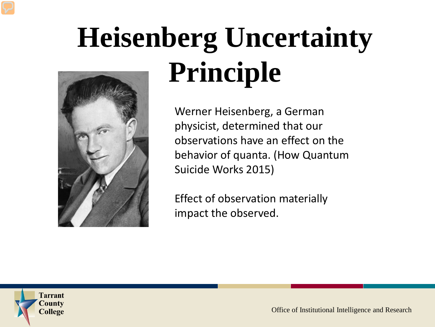# **Heisenberg Uncertainty Principle**

Werner Heisenberg, a German physicist, determined that our observations have an effect on the behavior of quanta. (How Quantum Suicide Works 2015)

Effect of observation materially impact the observed.

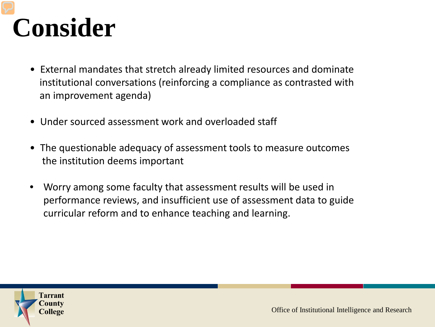### **Consider**

- External mandates that stretch already limited resources and dominate institutional conversations (reinforcing a compliance as contrasted with an improvement agenda)
- Under sourced assessment work and overloaded staff
- The questionable adequacy of assessment tools to measure outcomes the institution deems important
- **Sample** • Worry among some faculty that assessment results will be used in performance reviews, and insufficient use of assessment data to guide curricular reform and to enhance teaching and learning.

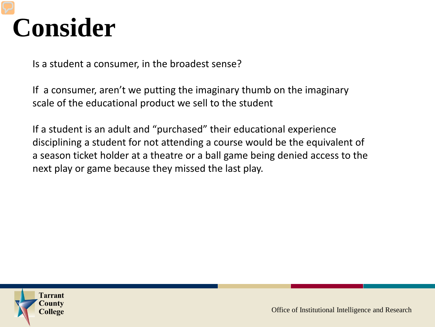### **Consider**

Is a student a consumer, in the broadest sense?

If a consumer, aren't we putting the imaginary thumb on the imaginary scale of the educational product we sell to the student

If a student is an adult and "purchased" their educational experience disciplining a student for not attending a course would be the equivalent of a season ticket holder at a theatre or a ball game being denied access to the next play or game because they missed the last play.

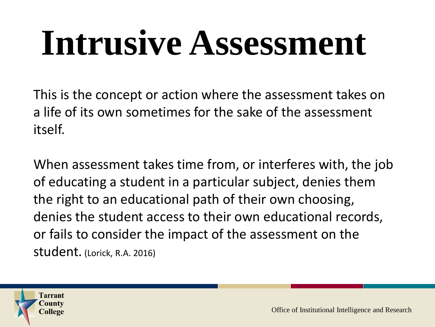# **Intrusive Assessment**

This is the concept or action where the assessment takes on a life of its own sometimes for the sake of the assessment itself.

the right to an educational path of their own choosing, When assessment takes time from, or interferes with, the job of educating a student in a particular subject, denies them denies the student access to their own educational records, or fails to consider the impact of the assessment on the student. (Lorick, R.A. 2016)

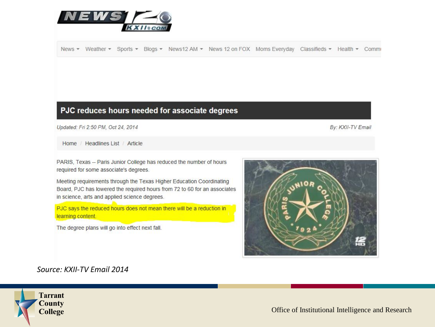

News ▼ Weather ▼ Sports ▼ Blogs ▼ News12 AM ▼ News 12 on FOX Moms Everyday Classifieds ▼ Health ▼ Commi

#### PJC reduces hours needed for associate degrees

Updated: Fri 2:50 PM, Oct 24, 2014

By: KXII-TV Email

Home / Headlines List / Article

PARIS, Texas -- Paris Junior College has reduced the number of hours required for some associate's degrees.

Meeting requirements through the Texas Higher Education Coordinating Board, PJC has lowered the required hours from 72 to 60 for an associates in science, arts and applied science degrees.

PJC says the reduced hours does not mean there will be a reduction in learning content.

The degree plans will go into effect next fall.



*Source: KXII-TV Email 2014*

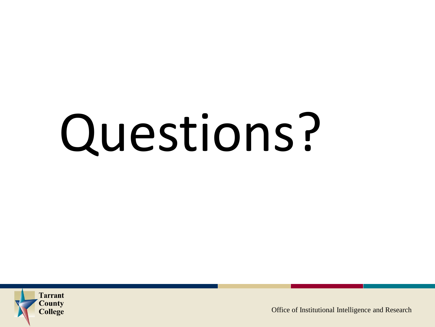# Questions?

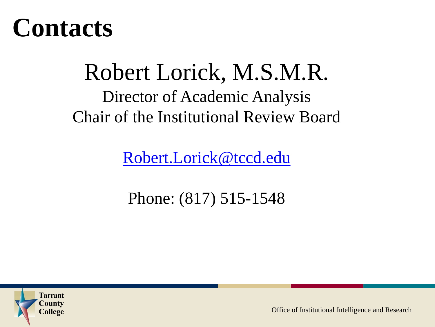### **Contacts**

### Robert Lorick, M.S.M.R. Director of Academic Analysis Chair of the Institutional Review Board

[Robert.Lorick@tccd.edu](mailto:Robert.Lorick@tccd.edu)

**Sample** Phone: (817) 515-1548

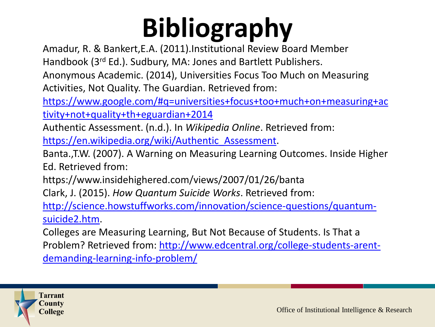Amadur, R. & Bankert,E.A. (2011).Institutional Review Board Member

Handbook (3rd Ed.). Sudbury, MA: Jones and Bartlett Publishers.

Anonymous Academic. (2014), Universities Focus Too Much on Measuring Activities, Not Quality. The Guardian. Retrieved from:

[https://www.google.com/#q=universities+focus+too+much+on+measuring+ac](https://www.google.com/%23q=universities+focus+too+much+on+measuring+activity+not+quality+th+eguardian+2014) tivity+not+quality+th+eguardian+2014

Authentic Assessment. (n.d.). In *Wikipedia Online*. Retrieved from:

[https://en.wikipedia.org/wiki/Authentic\\_Assessment.](https://en.wikipedia.org/wiki/Authentic_Assessment)

Banta.,T.W. (2007). A Warning on Measuring Learning Outcomes. Inside Higher Ed. Retrieved from:

https://www.insidehighered.com/views/2007/01/26/banta

Clark, J. (2015). *How Quantum Suicide Works*. Retrieved from:

[http://science.howstuffworks.com/innovation/science-questions/quantum](http://science.howstuffworks.com/innovation/science-questions/quantum-suicide2.htm)suicide2.htm.

Colleges are Measuring Learning, But Not Because of Students. Is That a [Problem? Retrieved from: http://www.edcentral.org/college-students-arent](http://www.edcentral.org/college-students-arent-demanding-learning-info-problem/)demanding-learning-info-problem/

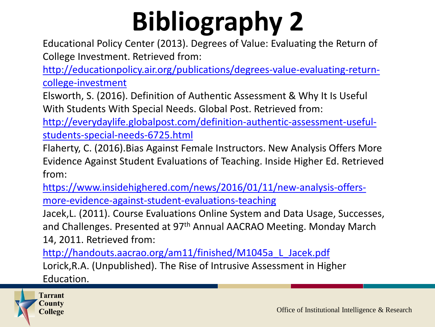Educational Policy Center (2013). Degrees of Value: Evaluating the Return of College Investment. Retrieved from:

[http://educationpolicy.air.org/publications/degrees-value-evaluating-return](http://educationpolicy.air.org/publications/degrees-value-evaluating-return-college-investment)college-investment

Elsworth, S. (2016). Definition of Authentic Assessment & Why It Is Useful With Students With Special Needs. Global Post. Retrieved from:

[http://everydaylife.globalpost.com/definition-authentic-assessment-useful](http://everydaylife.globalpost.com/definition-authentic-assessment-useful-students-special-needs-6725.html)students-special-needs-6725.html

Flaherty, C. (2016).Bias Against Female Instructors. New Analysis Offers More Evidence Against Student Evaluations of Teaching. Inside Higher Ed. Retrieved from:

[https://www.insidehighered.com/news/2016/01/11/new-analysis-offers](https://www.insidehighered.com/news/2016/01/11/new-analysis-offers-more-evidence-against-student-evaluations-teaching)more-evidence-against-student-evaluations-teaching

Jacek,L. (2011). Course Evaluations Online System and Data Usage, Successes, and Challenges. Presented at 97<sup>th</sup> Annual AACRAO Meeting. Monday March 14, 2011. Retrieved from:

[http://handouts.aacrao.org/am11/finished/M1045a\\_L\\_Jacek.pdf](http://handouts.aacrao.org/am11/finished/M1045a_L_Jacek.pdf) Lorick,R.A. (Unpublished). The Rise of Intrusive Assessment in Higher Education.

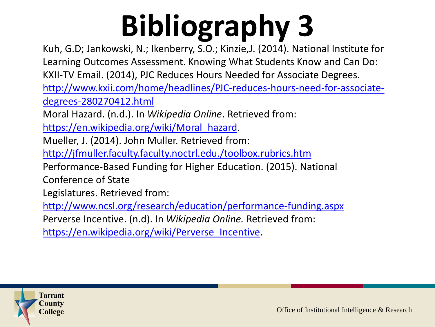Kuh, G.D; Jankowski, N.; Ikenberry, S.O.; Kinzie,J. (2014). National Institute for Learning Outcomes Assessment. Knowing What Students Know and Can Do: KXII-TV Email. (2014), PJC Reduces Hours Needed for Associate Degrees. [http://www.kxii.com/home/headlines/PJC-reduces-hours-need-for-associate](http://www.kxii.com/home/headlines/PJC-reduces-hours-need-for-associate-degrees-280270412.html)degrees-280270412.html

Moral Hazard. (n.d.). In *Wikipedia Online*. Retrieved from:

[https://en.wikipedia.org/wiki/Moral\\_hazard.](https://en.wikipedia.org/wiki/Moral_hazard)

Mueller, J. (2014). John Muller. Retrieved from:

<http://jfmuller.faculty.faculty.noctrl.edu./toolbox.rubrics.htm>

Performance-Based Funding for Higher Education. (2015). National Conference of State

Legislatures. Retrieved from:

<http://www.ncsl.org/research/education/performance-funding.aspx> Perverse Incentive. (n.d). In *Wikipedia Online.* Retrieved from: [https://en.wikipedia.org/wiki/Perverse\\_Incentive.](https://en.wikipedia.org/wiki/Perverse_Incentive)

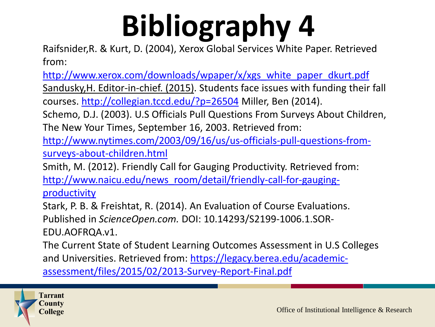Raifsnider,R. & Kurt, D. (2004), Xerox Global Services White Paper. Retrieved from:

[http://www.xerox.com/downloads/wpaper/x/xgs\\_white\\_paper\\_dkurt.pdf](http://www.xerox.com/downloads/wpaper/x/xgs_white_paper_dkurt.pdf) Sandusky,H. Editor-in-chief. (2015). Students face issues with funding their fall courses. <http://collegian.tccd.edu/?p=26504> Miller, Ben (2014).

Schemo, D.J. (2003). U.S Officials Pull Questions From Surveys About Children, The New Your Times, September 16, 2003. Retrieved from:

[http://www.nytimes.com/2003/09/16/us/us-officials-pull-questions-from](http://www.nytimes.com/2003/09/16/us/us-officials-pull-questions-from-surveys-about-children.html)surveys-about-children.html

Smith, M. (2012). Friendly Call for Gauging Productivity. Retrieved from: [http://www.naicu.edu/news\\_room/detail/friendly-call-for-gauging](http://www.naicu.edu/news_room/detail/friendly-call-for-gauging-productivity)productivity

Stark, P. B. & Freishtat, R. (2014). An Evaluation of Course Evaluations. Published in *ScienceOpen.com.* DOI: 10.14293/S2199-1006.1.SOR-EDU.AOFRQA.v1.

The Current State of Student Learning Outcomes Assessment in U.S Colleges and Universities. Retrieved from: https://legacy.berea.edu/academic[assessment/files/2015/02/2013-Survey-Report-Final.pdf](https://legacy.berea.edu/academic-assessment/files/2015/02/2013-Survey-Report-Final.pdf)